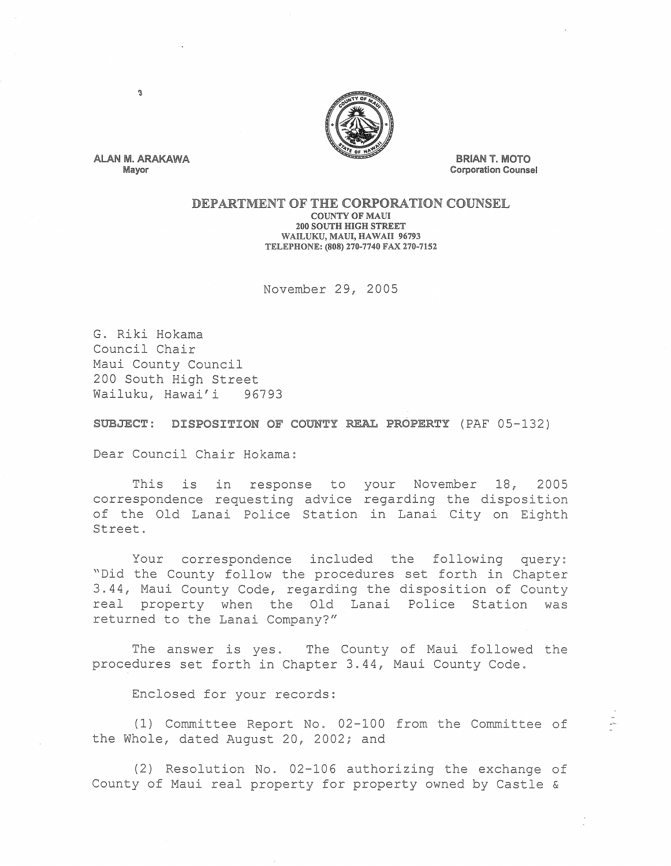

ALAN M. ARAKAWA Mayor

 $\Omega$ 

**BRIAN T. MOTO** Corporation Counsel

## DEPARTMENT OF THE CORPORATION COUNSEL COUNTY OF MAUl

200 SOUTH HIGH STREET WAILUKU, MAUl, HAWAII 96793 TELEPHONE: (808) 270-7740 FAX 270-7152

November 29, 2005

G. Riki Hokama Council Chair Maui County Council 200 South High Street<br>Wailuku, Hawai'i 96793 Wailuku, Hawai'i

SUBJECT: DISPOSITION OF COUNTY REAL PROPERTY (PAF 05-132)

Dear Council Chair Hokama:

This is in response to your November 18, 2005 correspondence requesting advice regarding the disposition of the Old Lanai Police Station in Lanai City on Eighth Street.

Your correspondence included the following query: "Did the County follow the procedures set forth in Chapter 3.44, Maui County Code, regarding the disposition of County real property when the Old Lanai Police Station was returned to the Lanai Company?"

The answer is yes. The County of Maui followed the procedures set forth in Chapter 3.44, Maui County Code.

Enclosed for your records:

(1) Committee Report No. 02-100 from the Committee of the Whole, dated August 20, 2002; and

(2) Resolution No. 02-106 authorizing the exchange of County of Maui real property for property owned by Castle &